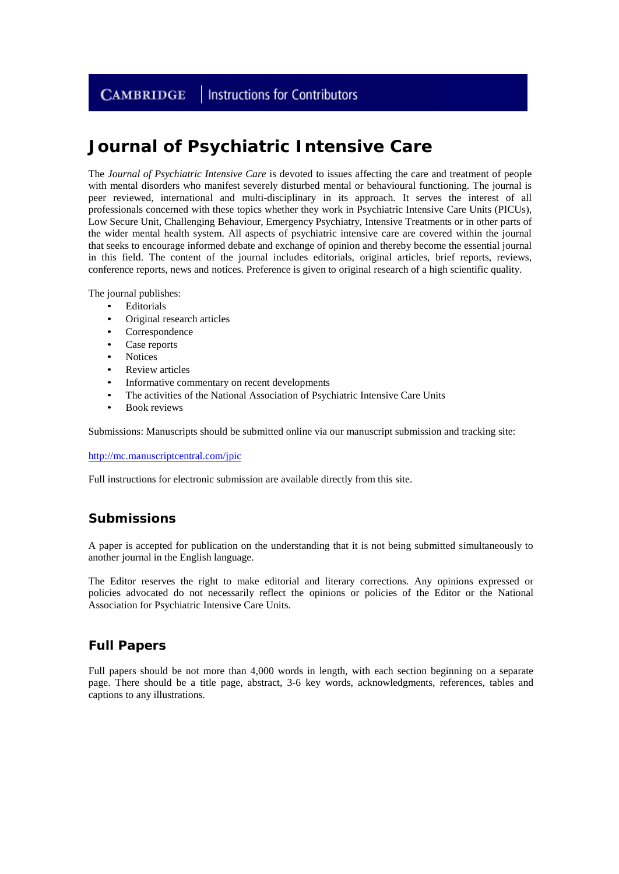# **Journal of Psychiatric Intensive Care**

The *Journal of Psychiatric Intensive Care* is devoted to issues affecting the care and treatment of people with mental disorders who manifest severely disturbed mental or behavioural functioning. The journal is peer reviewed, international and multi-disciplinary in its approach. It serves the interest of all professionals concerned with these topics whether they work in Psychiatric Intensive Care Units (PICUs), Low Secure Unit, Challenging Behaviour, Emergency Psychiatry, Intensive Treatments or in other parts of the wider mental health system. All aspects of psychiatric intensive care are covered within the journal that seeks to encourage informed debate and exchange of opinion and thereby become the essential journal in this field. The content of the journal includes editorials, original articles, brief reports, reviews, conference reports, news and notices. Preference is given to original research of a high scientific quality.

The journal publishes:

- Editorials
- Original research articles
- Correspondence
- Case reports
- Notices
- Review articles
- Informative commentary on recent developments
- The activities of the National Association of Psychiatric Intensive Care Units
- Book reviews

Submissions: Manuscripts should be submitted online via our manuscript submission and tracking site:

<http://mc.manuscriptcentral.com/jpic>

Full instructions for electronic submission are available directly from this site.

# **Submissions**

A paper is accepted for publication on the understanding that it is not being submitted simultaneously to another journal in the English language.

The Editor reserves the right to make editorial and literary corrections. Any opinions expressed or policies advocated do not necessarily reflect the opinions or policies of the Editor or the National Association for Psychiatric Intensive Care Units.

### **Full Papers**

Full papers should be not more than 4,000 words in length, with each section beginning on a separate page. There should be a title page, abstract, 3-6 key words, acknowledgments, references, tables and captions to any illustrations.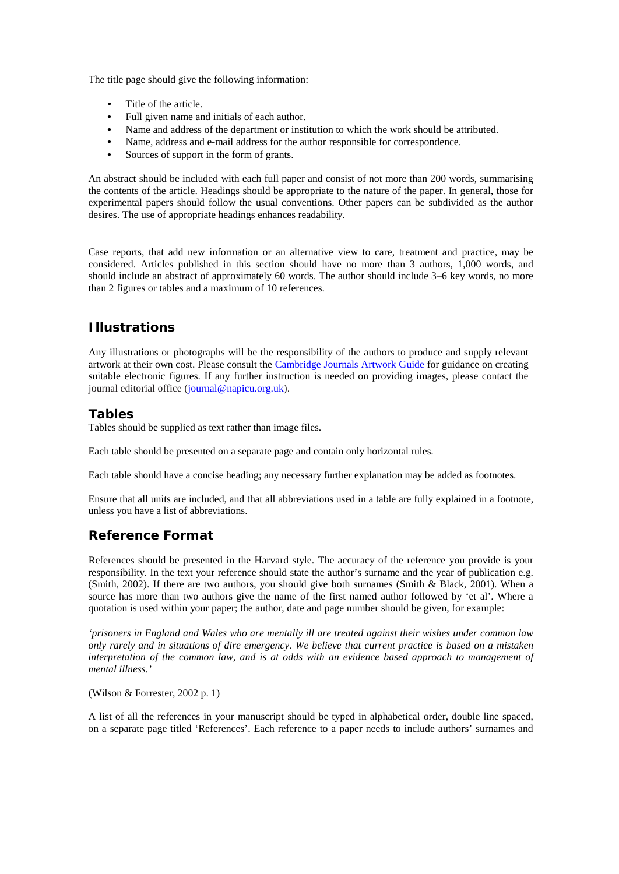The title page should give the following information:

- Title of the article.
- Full given name and initials of each author.
- Name and address of the department or institution to which the work should be attributed.
- Name, address and e-mail address for the author responsible for correspondence.
- Sources of support in the form of grants.

An abstract should be included with each full paper and consist of not more than 200 words, summarising the contents of the article. Headings should be appropriate to the nature of the paper. In general, those for experimental papers should follow the usual conventions. Other papers can be subdivided as the author desires. The use of appropriate headings enhances readability.

Case reports, that add new information or an alternative view to care, treatment and practice, may be considered. Articles published in this section should have no more than 3 authors, 1,000 words, and should include an abstract of approximately 60 words. The author should include 3–6 key words, no more than 2 figures or tables and a maximum of 10 references.

## **Illustrations**

Any illustrations or photographs will be the responsibility of the authors to produce and supply relevant artwork at their own cost. Please consult the [Cambridge Journals Artwork Guide](http://journals.cambridge.org/action/stream?pageId=7848&level=2&sessionId=DBD41E25A70E8CF7E9E9CD627A082AC5.journals) for guidance on creating suitable electronic figures. If any further instruction is needed on providing images, please contact the journal editorial office [\(journal@napicu.org.uk\)](mailto:journal@napicu.org.uk).

### **Tables**

Tables should be supplied as text rather than image files.

Each table should be presented on a separate page and contain only horizontal rules.

Each table should have a concise heading; any necessary further explanation may be added as footnotes.

Ensure that all units are included, and that all abbreviations used in a table are fully explained in a footnote, unless you have a list of abbreviations.

# **Reference Format**

References should be presented in the Harvard style. The accuracy of the reference you provide is your responsibility. In the text your reference should state the author's surname and the year of publication e.g. (Smith, 2002). If there are two authors, you should give both surnames (Smith & Black, 2001). When a source has more than two authors give the name of the first named author followed by 'et al'. Where a quotation is used within your paper; the author, date and page number should be given, for example:

*'prisoners in England and Wales who are mentally ill are treated against their wishes under common law only rarely and in situations of dire emergency. We believe that current practice is based on a mistaken interpretation of the common law, and is at odds with an evidence based approach to management of mental illness.'*

(Wilson & Forrester, 2002 p. 1)

A list of all the references in your manuscript should be typed in alphabetical order, double line spaced, on a separate page titled 'References'. Each reference to a paper needs to include authors' surnames and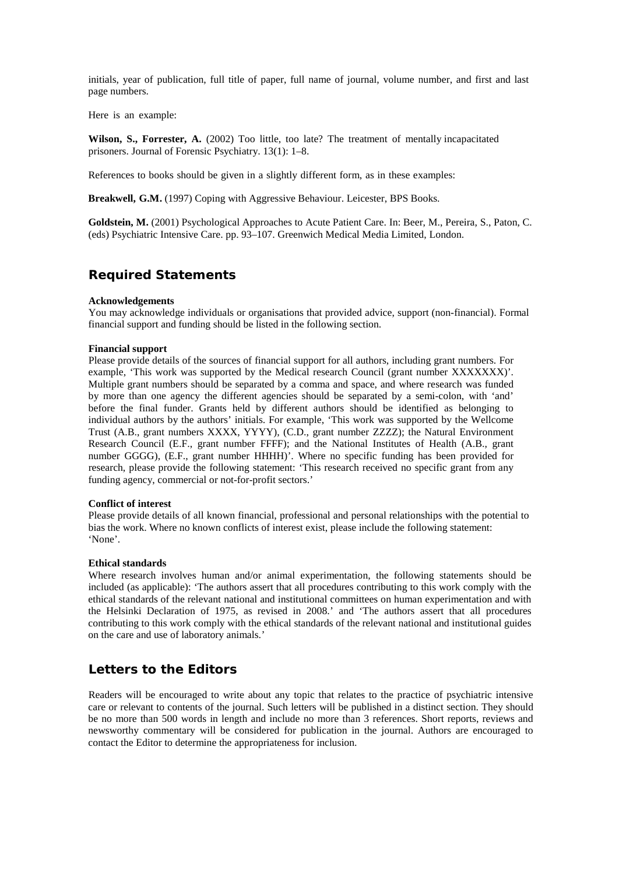initials, year of publication, full title of paper, full name of journal, volume number, and first and last page numbers.

Here is an example:

**Wilson, S., Forrester, A.** (2002) Too little, too late? The treatment of mentally incapacitated prisoners. Journal of Forensic Psychiatry. 13(1): 1–8.

References to books should be given in a slightly different form, as in these examples:

**Breakwell, G.M.** (1997) Coping with Aggressive Behaviour. Leicester, BPS Books.

**Goldstein, M.** (2001) Psychological Approaches to Acute Patient Care. In: Beer, M., Pereira, S., Paton, C. (eds) Psychiatric Intensive Care. pp. 93–107. Greenwich Medical Media Limited, London.

### **Required Statements**

#### **Acknowledgements**

You may acknowledge individuals or organisations that provided advice, support (non-financial). Formal financial support and funding should be listed in the following section.

#### **Financial support**

Please provide details of the sources of financial support for all authors, including grant numbers. For example, 'This work was supported by the Medical research Council (grant number XXXXXXX)'. Multiple grant numbers should be separated by a comma and space, and where research was funded by more than one agency the different agencies should be separated by a semi-colon, with 'and' before the final funder. Grants held by different authors should be identified as belonging to individual authors by the authors' initials. For example, 'This work was supported by the Wellcome Trust (A.B., grant numbers XXXX, YYYY), (C.D., grant number ZZZZ); the Natural Environment Research Council (E.F., grant number FFFF); and the National Institutes of Health (A.B., grant number GGGG), (E.F., grant number HHHH)'. Where no specific funding has been provided for research, please provide the following statement: 'This research received no specific grant from any funding agency, commercial or not-for-profit sectors.'

#### **Conflict of interest**

Please provide details of all known financial, professional and personal relationships with the potential to bias the work. Where no known conflicts of interest exist, please include the following statement: 'None'.

#### **Ethical standards**

Where research involves human and/or animal experimentation, the following statements should be included (as applicable): 'The authors assert that all procedures contributing to this work comply with the ethical standards of the relevant national and institutional committees on human experimentation and with the Helsinki Declaration of 1975, as revised in 2008.' and 'The authors assert that all procedures contributing to this work comply with the ethical standards of the relevant national and institutional guides on the care and use of laboratory animals.'

### **Letters to the Editors**

Readers will be encouraged to write about any topic that relates to the practice of psychiatric intensive care or relevant to contents of the journal. Such letters will be published in a distinct section. They should be no more than 500 words in length and include no more than 3 references. Short reports, reviews and newsworthy commentary will be considered for publication in the journal. Authors are encouraged to contact the Editor to determine the appropriateness for inclusion.